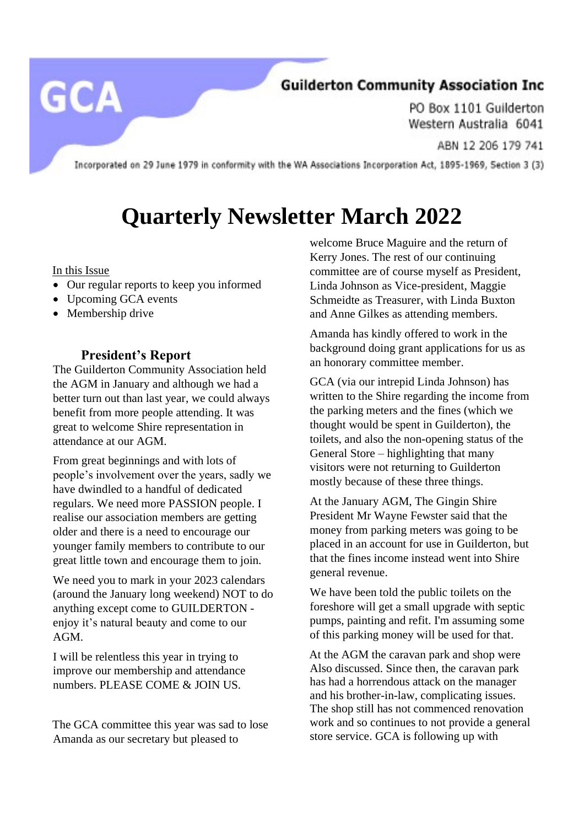### **Guilderton Community Association Inc**

PO Box 1101 Guilderton Western Australia 6041

ABN 12 206 179 741

Incorporated on 29 June 1979 in conformity with the WA Associations Incorporation Act, 1895-1969, Section 3 (3)

# **Quarterly Newsletter March 2022**

In this Issue

**GCA** 

- Our regular reports to keep you informed
- Upcoming GCA events
- Membership drive

#### **President's Report**

The Guilderton Community Association held the AGM in January and although we had a better turn out than last year, we could always benefit from more people attending. It was great to welcome Shire representation in attendance at our AGM.

From great beginnings and with lots of people's involvement over the years, sadly we have dwindled to a handful of dedicated regulars. We need more PASSION people. I realise our association members are getting older and there is a need to encourage our younger family members to contribute to our great little town and encourage them to join.

We need you to mark in your 2023 calendars (around the January long weekend) NOT to do anything except come to GUILDERTON enjoy it's natural beauty and come to our AGM.

I will be relentless this year in trying to improve our membership and attendance numbers. PLEASE COME & JOIN US.

The GCA committee this year was sad to lose Amanda as our secretary but pleased to

welcome Bruce Maguire and the return of Kerry Jones. The rest of our continuing committee are of course myself as President, Linda Johnson as Vice-president, Maggie Schmeidte as Treasurer, with Linda Buxton and Anne Gilkes as attending members.

Amanda has kindly offered to work in the background doing grant applications for us as an honorary committee member.

GCA (via our intrepid Linda Johnson) has written to the Shire regarding the income from the parking meters and the fines (which we thought would be spent in Guilderton), the toilets, and also the non-opening status of the General Store – highlighting that many visitors were not returning to Guilderton mostly because of these three things.

At the January AGM, The Gingin Shire President Mr Wayne Fewster said that the money from parking meters was going to be placed in an account for use in Guilderton, but that the fines income instead went into Shire general revenue.

We have been told the public toilets on the foreshore will get a small upgrade with septic pumps, painting and refit. I'm assuming some of this parking money will be used for that.

At the AGM the caravan park and shop were Also discussed. Since then, the caravan park has had a horrendous attack on the manager and his brother-in-law, complicating issues. The shop still has not commenced renovation work and so continues to not provide a general store service. GCA is following up with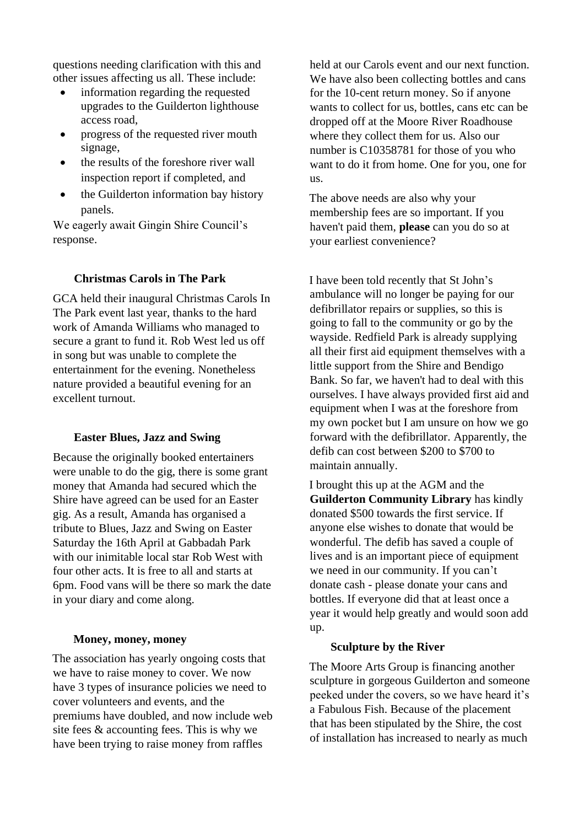questions needing clarification with this and other issues affecting us all. These include:

- information regarding the requested upgrades to the Guilderton lighthouse access road,
- progress of the requested river mouth signage,
- the results of the foreshore river wall inspection report if completed, and
- the Guilderton information bay history panels.

We eagerly await Gingin Shire Council's response.

#### **Christmas Carols in The Park**

GCA held their inaugural Christmas Carols In The Park event last year, thanks to the hard work of Amanda Williams who managed to secure a grant to fund it. Rob West led us off in song but was unable to complete the entertainment for the evening. Nonetheless nature provided a beautiful evening for an excellent turnout.

#### **Easter Blues, Jazz and Swing**

Because the originally booked entertainers were unable to do the gig, there is some grant money that Amanda had secured which the Shire have agreed can be used for an Easter gig. As a result, Amanda has organised a tribute to Blues, Jazz and Swing on Easter Saturday the 16th April at Gabbadah Park with our inimitable local star Rob West with four other acts. It is free to all and starts at 6pm. Food vans will be there so mark the date in your diary and come along.

#### **Money, money, money**

The association has yearly ongoing costs that we have to raise money to cover. We now have 3 types of insurance policies we need to cover volunteers and events, and the premiums have doubled, and now include web site fees & accounting fees. This is why we have been trying to raise money from raffles

held at our Carols event and our next function. We have also been collecting bottles and cans for the 10-cent return money. So if anyone wants to collect for us, bottles, cans etc can be dropped off at the Moore River Roadhouse where they collect them for us. Also our number is C10358781 for those of you who want to do it from home. One for you, one for us.

The above needs are also why your membership fees are so important. If you haven't paid them, **please** can you do so at your earliest convenience?

I have been told recently that St John's ambulance will no longer be paying for our defibrillator repairs or supplies, so this is going to fall to the community or go by the wayside. Redfield Park is already supplying all their first aid equipment themselves with a little support from the Shire and Bendigo Bank. So far, we haven't had to deal with this ourselves. I have always provided first aid and equipment when I was at the foreshore from my own pocket but I am unsure on how we go forward with the defibrillator. Apparently, the defib can cost between \$200 to \$700 to maintain annually.

I brought this up at the AGM and the **Guilderton Community Library** has kindly donated \$500 towards the first service. If anyone else wishes to donate that would be wonderful. The defib has saved a couple of lives and is an important piece of equipment we need in our community. If you can't donate cash - please donate your cans and bottles. If everyone did that at least once a year it would help greatly and would soon add up.

#### **Sculpture by the River**

The Moore Arts Group is financing another sculpture in gorgeous Guilderton and someone peeked under the covers, so we have heard it's a Fabulous Fish. Because of the placement that has been stipulated by the Shire, the cost of installation has increased to nearly as much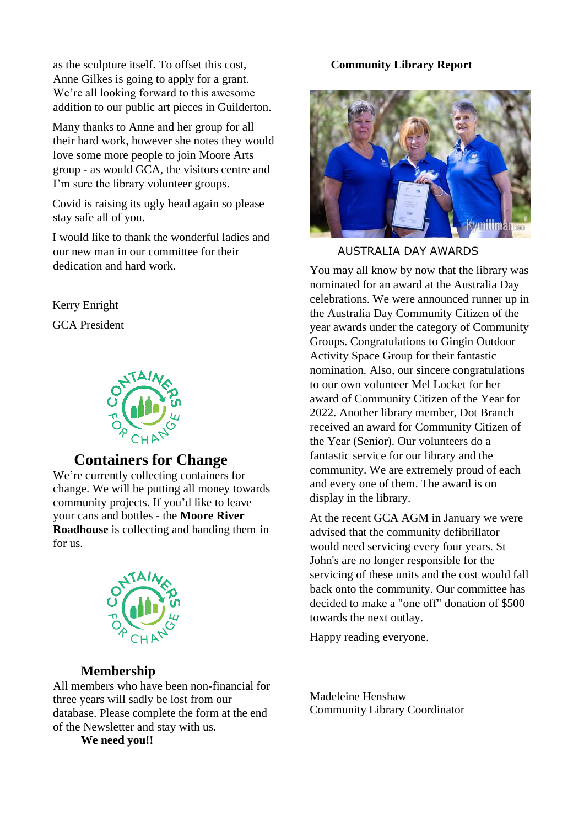as the sculpture itself. To offset this cost, Anne Gilkes is going to apply for a grant. We're all looking forward to this awesome addition to our public art pieces in Guilderton.

Many thanks to Anne and her group for all their hard work, however she notes they would love some more people to join Moore Arts group - as would GCA, the visitors centre and I'm sure the library volunteer groups.

Covid is raising its ugly head again so please stay safe all of you.

I would like to thank the wonderful ladies and our new man in our committee for their dedication and hard work.

Kerry Enright

GCA President



#### **Containers for Change**

We're currently collecting containers for change. We will be putting all money towards community projects. If you'd like to leave your cans and bottles - the **Moore River Roadhouse** is collecting and handing them in for us.



#### **Membership**

All members who have been non-financial for three years will sadly be lost from our database. Please complete the form at the end of the Newsletter and stay with us.

**We need you!!**

#### **Community Library Report**



AUSTRALIA DAY AWARDS

You may all know by now that the library was nominated for an award at the Australia Day celebrations. We were announced runner up in the Australia Day Community Citizen of the year awards under the category of Community Groups. Congratulations to Gingin Outdoor Activity Space Group for their fantastic nomination. Also, our sincere congratulations to our own volunteer Mel Locket for her award of Community Citizen of the Year for 2022. Another library member, Dot Branch received an award for Community Citizen of the Year (Senior). Our volunteers do a fantastic service for our library and the community. We are extremely proud of each and every one of them. The award is on display in the library.

At the recent GCA AGM in January we were advised that the community defibrillator would need servicing every four years. St John's are no longer responsible for the servicing of these units and the cost would fall back onto the community. Our committee has decided to make a "one off" donation of \$500 towards the next outlay.

Happy reading everyone.

Madeleine Henshaw Community Library Coordinator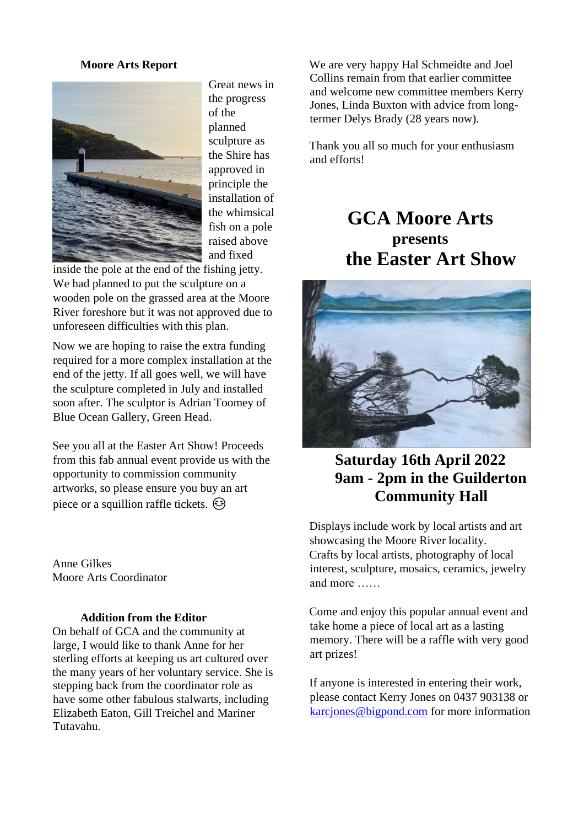#### **Moore Arts Report**



Great news in the progress of the planned sculpture as the Shire has approved in principle the installation of the whimsical fish on a pole raised above and fixed

inside the pole at the end of the fishing jetty. We had planned to put the sculpture on a wooden pole on the grassed area at the Moore River foreshore but it was not approved due to unforeseen difficulties with this plan.

Now we are hoping to raise the extra funding required for a more complex installation at the end of the jetty. If all goes well, we will have the sculpture completed in July and installed soon after. The sculptor is Adrian Toomey of Blue Ocean Gallery, Green Head.

See you all at the Easter Art Show! Proceeds from this fab annual event provide us with the opportunity to commission community artworks, so please ensure you buy an art piece or a squillion raffle tickets.  $\odot$ 

Anne Gilkes Moore Arts Coordinator

#### **Addition from the Editor**

On behalf of GCA and the community at large, I would like to thank Anne for her sterling efforts at keeping us art cultured over the many years of her voluntary service. She is stepping back from the coordinator role as have some other fabulous stalwarts, including Elizabeth Eaton, Gill Treichel and Mariner Tutavahu.

We are very happy Hal Schmeidte and Joel Collins remain from that earlier committee and welcome new committee members Kerry Jones, Linda Buxton with advice from longtermer Delys Brady (28 years now).

Thank you all so much for your enthusiasm and efforts!

## **GCA Moore Arts presents the Easter Art Show**



## **Saturday 16th April 2022 9am - 2pm in the Guilderton Community Hall**

Displays include work by local artists and art showcasing the Moore River locality. Crafts by local artists, photography of local interest, sculpture, mosaics, ceramics, jewelry and more ……

Come and enjoy this popular annual event and take home a piece of local art as a lasting memory. There will be a raffle with very good art prizes!

If anyone is interested in entering their work, please contact Kerry Jones on 0437 903138 or [karcjones@bigpond.com](mailto:karcjones@bigpond.com) for more information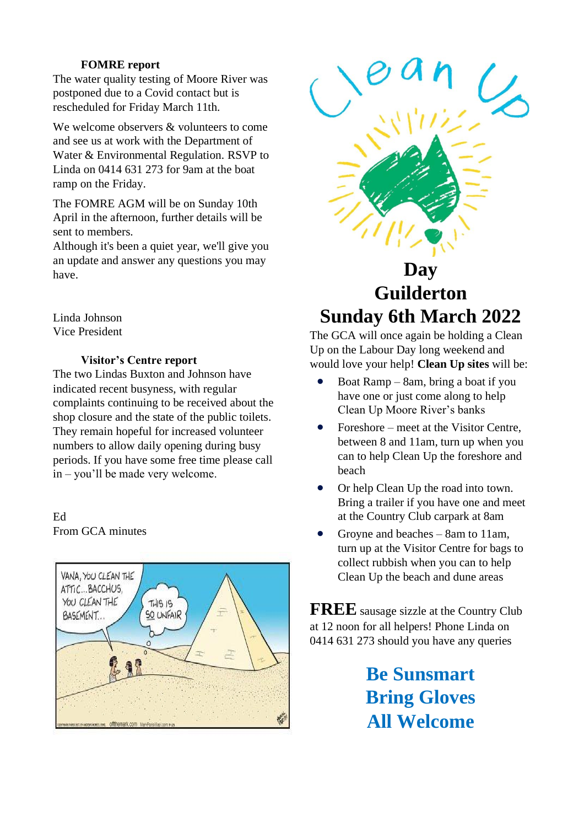#### **FOMRE report**

The water quality testing of Moore River was postponed due to a Covid contact but is rescheduled for Friday March 11th.

We welcome observers & volunteers to come and see us at work with the Department of Water & Environmental Regulation. RSVP to Linda on 0414 631 273 for 9am at the boat ramp on the Friday.

The FOMRE AGM will be on Sunday 10th April in the afternoon, further details will be sent to members.

Although it's been a quiet year, we'll give you an update and answer any questions you may have.

Linda Johnson Vice President

#### **Visitor's Centre report**

The two Lindas Buxton and Johnson have indicated recent busyness, with regular complaints continuing to be received about the shop closure and the state of the public toilets. They remain hopeful for increased volunteer numbers to allow daily opening during busy periods. If you have some free time please call in – you'll be made very welcome.

#### Ed From GCA minutes





# **Guilderton Sunday 6th March 2022**

The GCA will once again be holding a Clean Up on the Labour Day long weekend and would love your help! **Clean Up sites** will be:

- Boat Ramp 8am, bring a boat if you have one or just come along to help Clean Up Moore River's banks
- Foreshore meet at the Visitor Centre, between 8 and 11am, turn up when you can to help Clean Up the foreshore and beach
- Or help Clean Up the road into town. Bring a trailer if you have one and meet at the Country Club carpark at 8am
- Groyne and beaches 8am to 11am, turn up at the Visitor Centre for bags to collect rubbish when you can to help Clean Up the beach and dune areas

**FREE** sausage sizzle at the Country Club at 12 noon for all helpers! Phone Linda on 0414 631 273 should you have any queries

> **Be Sunsmart Bring Gloves All Welcome**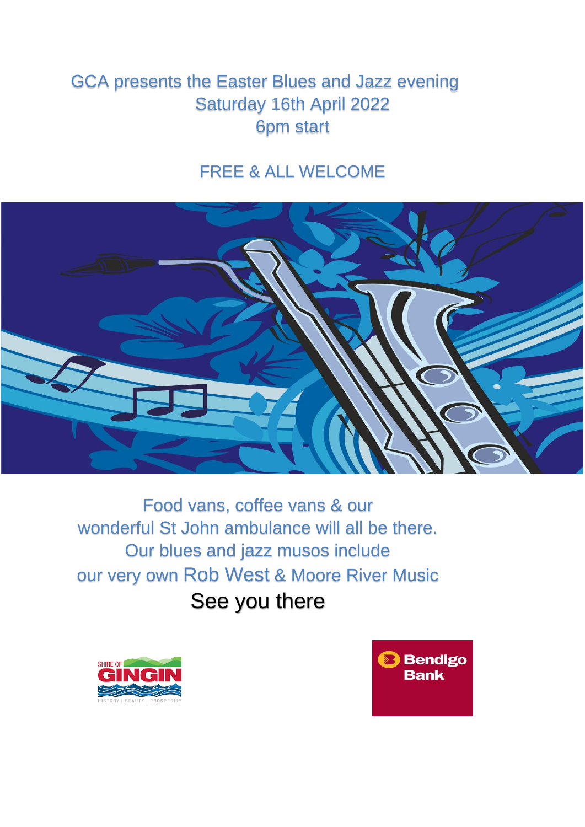## GCA presents the Easter Blues and Jazz evening Saturday 16th April 2022 6pm start

## FREE & ALL WELCOME



Food vans, coffee vans & our wonderful St John ambulance will all be there. Our blues and jazz musos include our very own Rob West & Moore River Music See you there